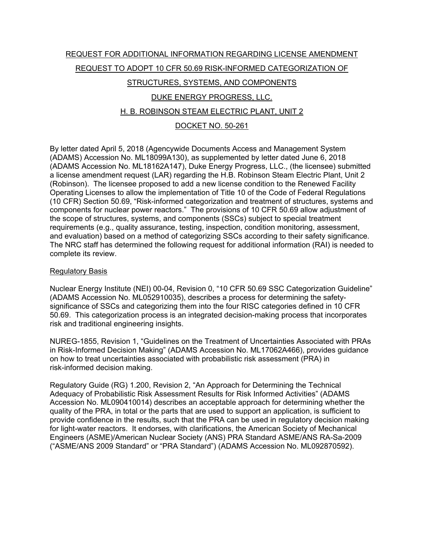# REQUEST FOR ADDITIONAL INFORMATION REGARDING LICENSE AMENDMENT REQUEST TO ADOPT 10 CFR 50.69 RISK-INFORMED CATEGORIZATION OF STRUCTURES, SYSTEMS, AND COMPONENTS

# DUKE ENERGY PROGRESS, LLC.

## H. B. ROBINSON STEAM ELECTRIC PLANT, UNIT 2

## DOCKET NO. 50-261

By letter dated April 5, 2018 (Agencywide Documents Access and Management System (ADAMS) Accession No. ML18099A130), as supplemented by letter dated June 6, 2018 (ADAMS Accession No. ML18162A147), Duke Energy Progress, LLC., (the licensee) submitted a license amendment request (LAR) regarding the H.B. Robinson Steam Electric Plant, Unit 2 (Robinson). The licensee proposed to add a new license condition to the Renewed Facility Operating Licenses to allow the implementation of Title 10 of the Code of Federal Regulations (10 CFR) Section 50.69, "Risk-informed categorization and treatment of structures, systems and components for nuclear power reactors." The provisions of 10 CFR 50.69 allow adjustment of the scope of structures, systems, and components (SSCs) subject to special treatment requirements (e.g., quality assurance, testing, inspection, condition monitoring, assessment, and evaluation) based on a method of categorizing SSCs according to their safety significance. The NRC staff has determined the following request for additional information (RAI) is needed to complete its review.

#### Regulatory Basis

Nuclear Energy Institute (NEI) 00-04, Revision 0, "10 CFR 50.69 SSC Categorization Guideline" (ADAMS Accession No. ML052910035), describes a process for determining the safetysignificance of SSCs and categorizing them into the four RISC categories defined in 10 CFR 50.69. This categorization process is an integrated decision-making process that incorporates risk and traditional engineering insights.

NUREG-1855, Revision 1, "Guidelines on the Treatment of Uncertainties Associated with PRAs in Risk-Informed Decision Making" (ADAMS Accession No. ML17062A466), provides guidance on how to treat uncertainties associated with probabilistic risk assessment (PRA) in risk-informed decision making.

Regulatory Guide (RG) 1.200, Revision 2, "An Approach for Determining the Technical Adequacy of Probabilistic Risk Assessment Results for Risk Informed Activities" (ADAMS Accession No. ML090410014) describes an acceptable approach for determining whether the quality of the PRA, in total or the parts that are used to support an application, is sufficient to provide confidence in the results, such that the PRA can be used in regulatory decision making for light-water reactors. It endorses, with clarifications, the American Society of Mechanical Engineers (ASME)/American Nuclear Society (ANS) PRA Standard ASME/ANS RA-Sa-2009 ("ASME/ANS 2009 Standard" or "PRA Standard") (ADAMS Accession No. ML092870592).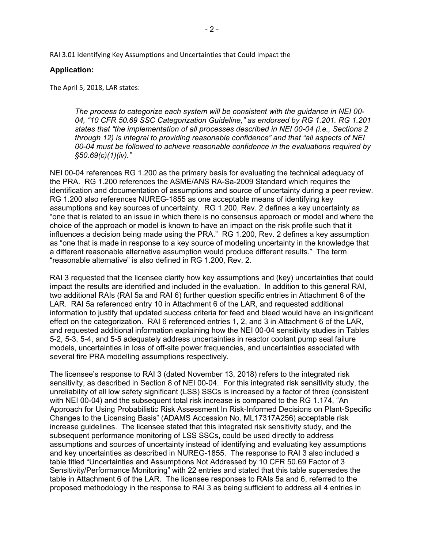RAI 3.01 Identifying Key Assumptions and Uncertainties that Could Impact the

#### **Application:**

The April 5, 2018, LAR states:

*The process to categorize each system will be consistent with the guidance in NEI 00- 04, "10 CFR 50.69 SSC Categorization Guideline," as endorsed by RG 1.201. RG 1.201 states that "the implementation of all processes described in NEI 00-04 (i.e., Sections 2 through 12) is integral to providing reasonable confidence" and that "all aspects of NEI 00-04 must be followed to achieve reasonable confidence in the evaluations required by §50.69(c)(1)(iv)."* 

NEI 00-04 references RG 1.200 as the primary basis for evaluating the technical adequacy of the PRA. RG 1.200 references the ASME/ANS RA-Sa-2009 Standard which requires the identification and documentation of assumptions and source of uncertainty during a peer review. RG 1.200 also references NUREG-1855 as one acceptable means of identifying key assumptions and key sources of uncertainty. RG 1.200, Rev. 2 defines a key uncertainty as "one that is related to an issue in which there is no consensus approach or model and where the choice of the approach or model is known to have an impact on the risk profile such that it influences a decision being made using the PRA." RG 1.200, Rev. 2 defines a key assumption as "one that is made in response to a key source of modeling uncertainty in the knowledge that a different reasonable alternative assumption would produce different results." The term "reasonable alternative" is also defined in RG 1.200, Rev. 2.

RAI 3 requested that the licensee clarify how key assumptions and (key) uncertainties that could impact the results are identified and included in the evaluation. In addition to this general RAI, two additional RAIs (RAI 5a and RAI 6) further question specific entries in Attachment 6 of the LAR. RAI 5a referenced entry 10 in Attachment 6 of the LAR, and requested additional information to justify that updated success criteria for feed and bleed would have an insignificant effect on the categorization. RAI 6 referenced entries 1, 2, and 3 in Attachment 6 of the LAR, and requested additional information explaining how the NEI 00-04 sensitivity studies in Tables 5-2, 5-3, 5-4, and 5-5 adequately address uncertainties in reactor coolant pump seal failure models, uncertainties in loss of off-site power frequencies, and uncertainties associated with several fire PRA modelling assumptions respectively.

The licensee's response to RAI 3 (dated November 13, 2018) refers to the integrated risk sensitivity, as described in Section 8 of NEI 00-04. For this integrated risk sensitivity study, the unreliability of all low safety significant (LSS) SSCs is increased by a factor of three (consistent with NEI 00-04) and the subsequent total risk increase is compared to the RG 1.174, "An Approach for Using Probabilistic Risk Assessment In Risk-Informed Decisions on Plant-Specific Changes to the Licensing Basis" (ADAMS Accession No. ML17317A256) acceptable risk increase guidelines. The licensee stated that this integrated risk sensitivity study, and the subsequent performance monitoring of LSS SSCs, could be used directly to address assumptions and sources of uncertainty instead of identifying and evaluating key assumptions and key uncertainties as described in NUREG-1855. The response to RAI 3 also included a table titled "Uncertainties and Assumptions Not Addressed by 10 CFR 50.69 Factor of 3 Sensitivity/Performance Monitoring" with 22 entries and stated that this table supersedes the table in Attachment 6 of the LAR. The licensee responses to RAIs 5a and 6, referred to the proposed methodology in the response to RAI 3 as being sufficient to address all 4 entries in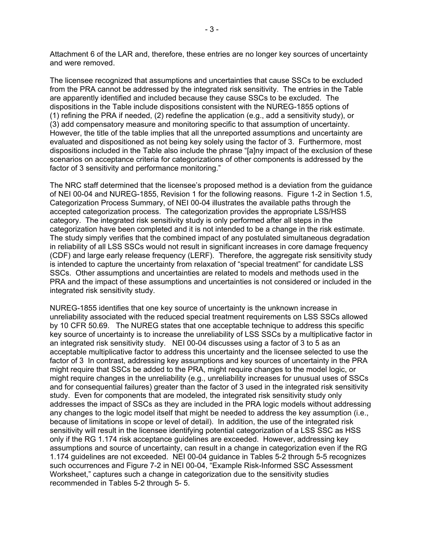Attachment 6 of the LAR and, therefore, these entries are no longer key sources of uncertainty and were removed.

The licensee recognized that assumptions and uncertainties that cause SSCs to be excluded from the PRA cannot be addressed by the integrated risk sensitivity. The entries in the Table are apparently identified and included because they cause SSCs to be excluded. The dispositions in the Table include dispositions consistent with the NUREG-1855 options of (1) refining the PRA if needed, (2) redefine the application (e.g., add a sensitivity study), or (3) add compensatory measure and monitoring specific to that assumption of uncertainty. However, the title of the table implies that all the unreported assumptions and uncertainty are evaluated and dispositioned as not being key solely using the factor of 3. Furthermore, most dispositions included in the Table also include the phrase "[a]ny impact of the exclusion of these scenarios on acceptance criteria for categorizations of other components is addressed by the factor of 3 sensitivity and performance monitoring."

The NRC staff determined that the licensee's proposed method is a deviation from the guidance of NEI 00-04 and NUREG-1855, Revision 1 for the following reasons. Figure 1-2 in Section 1.5, Categorization Process Summary, of NEI 00-04 illustrates the available paths through the accepted categorization process. The categorization provides the appropriate LSS/HSS category. The integrated risk sensitivity study is only performed after all steps in the categorization have been completed and it is not intended to be a change in the risk estimate. The study simply verifies that the combined impact of any postulated simultaneous degradation in reliability of all LSS SSCs would not result in significant increases in core damage frequency (CDF) and large early release frequency (LERF). Therefore, the aggregate risk sensitivity study is intended to capture the uncertainty from relaxation of "special treatment" for candidate LSS SSCs. Other assumptions and uncertainties are related to models and methods used in the PRA and the impact of these assumptions and uncertainties is not considered or included in the integrated risk sensitivity study.

NUREG-1855 identifies that one key source of uncertainty is the unknown increase in unreliability associated with the reduced special treatment requirements on LSS SSCs allowed by 10 CFR 50.69. The NUREG states that one acceptable technique to address this specific key source of uncertainty is to increase the unreliability of LSS SSCs by a multiplicative factor in an integrated risk sensitivity study. NEI 00-04 discusses using a factor of 3 to 5 as an acceptable multiplicative factor to address this uncertainty and the licensee selected to use the factor of 3 In contrast, addressing key assumptions and key sources of uncertainty in the PRA might require that SSCs be added to the PRA, might require changes to the model logic, or might require changes in the unreliability (e.g., unreliability increases for unusual uses of SSCs and for consequential failures) greater than the factor of 3 used in the integrated risk sensitivity study. Even for components that are modeled, the integrated risk sensitivity study only addresses the impact of SSCs as they are included in the PRA logic models without addressing any changes to the logic model itself that might be needed to address the key assumption (i.e., because of limitations in scope or level of detail). In addition, the use of the integrated risk sensitivity will result in the licensee identifying potential categorization of a LSS SSC as HSS only if the RG 1.174 risk acceptance guidelines are exceeded. However, addressing key assumptions and source of uncertainty, can result in a change in categorization even if the RG 1.174 guidelines are not exceeded. NEI 00-04 guidance in Tables 5-2 through 5-5 recognizes such occurrences and Figure 7-2 in NEI 00-04, "Example Risk-Informed SSC Assessment Worksheet," captures such a change in categorization due to the sensitivity studies recommended in Tables 5-2 through 5- 5.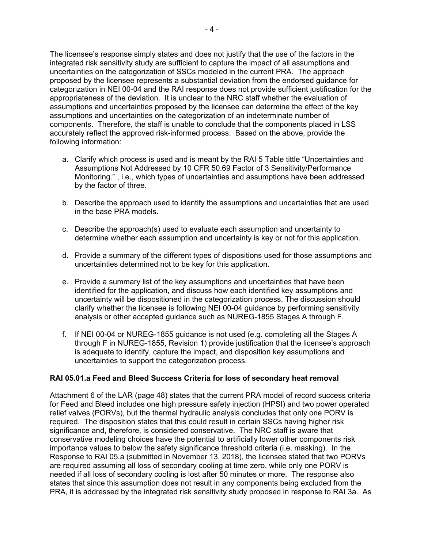The licensee's response simply states and does not justify that the use of the factors in the integrated risk sensitivity study are sufficient to capture the impact of all assumptions and uncertainties on the categorization of SSCs modeled in the current PRA. The approach proposed by the licensee represents a substantial deviation from the endorsed guidance for categorization in NEI 00-04 and the RAI response does not provide sufficient justification for the appropriateness of the deviation. It is unclear to the NRC staff whether the evaluation of assumptions and uncertainties proposed by the licensee can determine the effect of the key assumptions and uncertainties on the categorization of an indeterminate number of components. Therefore, the staff is unable to conclude that the components placed in LSS accurately reflect the approved risk-informed process. Based on the above, provide the following information:

- a. Clarify which process is used and is meant by the RAI 5 Table tittle "Uncertainties and Assumptions Not Addressed by 10 CFR 50.69 Factor of 3 Sensitivity/Performance Monitoring." , i.e., which types of uncertainties and assumptions have been addressed by the factor of three.
- b. Describe the approach used to identify the assumptions and uncertainties that are used in the base PRA models.
- c. Describe the approach(s) used to evaluate each assumption and uncertainty to determine whether each assumption and uncertainty is key or not for this application.
- d. Provide a summary of the different types of dispositions used for those assumptions and uncertainties determined not to be key for this application.
- e. Provide a summary list of the key assumptions and uncertainties that have been identified for the application, and discuss how each identified key assumptions and uncertainty will be dispositioned in the categorization process. The discussion should clarify whether the licensee is following NEI 00-04 guidance by performing sensitivity analysis or other accepted guidance such as NUREG-1855 Stages A through F.
- f. If NEI 00-04 or NUREG-1855 guidance is not used (e.g. completing all the Stages A through F in NUREG-1855, Revision 1) provide justification that the licensee's approach is adequate to identify, capture the impact, and disposition key assumptions and uncertainties to support the categorization process.

## **RAI 05.01.a Feed and Bleed Success Criteria for loss of secondary heat removal**

Attachment 6 of the LAR (page 48) states that the current PRA model of record success criteria for Feed and Bleed includes one high pressure safety injection (HPSI) and two power operated relief valves (PORVs), but the thermal hydraulic analysis concludes that only one PORV is required. The disposition states that this could result in certain SSCs having higher risk significance and, therefore, is considered conservative. The NRC staff is aware that conservative modeling choices have the potential to artificially lower other components risk importance values to below the safety significance threshold criteria (i.e. masking). In the Response to RAI 05.a (submitted in November 13, 2018), the licensee stated that two PORVs are required assuming all loss of secondary cooling at time zero, while only one PORV is needed if all loss of secondary cooling is lost after 50 minutes or more. The response also states that since this assumption does not result in any components being excluded from the PRA, it is addressed by the integrated risk sensitivity study proposed in response to RAI 3a. As